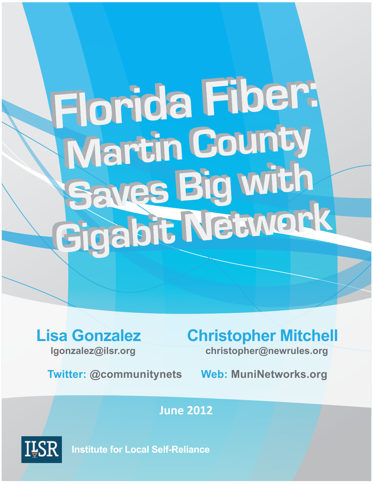# **Florida Fiber:** Martin County **Saves Big with Saves Pig Wien**

**Twitter:(@communitynets((((((Web:(MuniNetworks.org**

# **Lisa Gonzalez Christopher Mitchell**

**lgonzalez@ilsr.org((((((((((((((((((((((((((christopher@newrules.org**

**June%2012**



**Institute for Local Self-Reliance**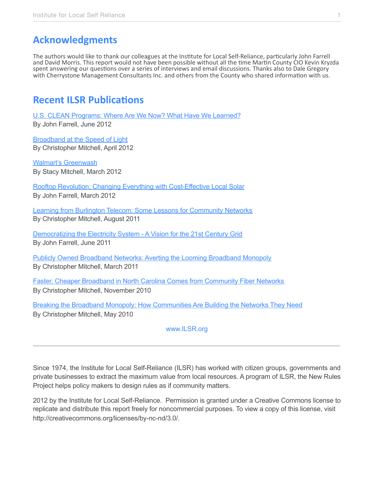## **Acknowledgments**

The authors would like to thank our colleagues at the Institute for Local Self-Reliance, particularly John Farrell and David Morris. This report would not have been possible without all the time Martin County CIO Kevin Kryzda spent answering our questions over a series of interviews and email discussions. Thanks also to Dale Gregory with Cherrystone Management Consultants Inc. and others from the County who shared information with us.

### **Recent ILSR Publications**

[U.S. CLEAN Programs: Where Are We Now? What Have We Learned?](http://www.ilsr.org/u-s-clean-programs-now-learned/) By John Farrell, June 2012

[Broadband at the Speed of Light](http://www.ilsr.org/broadband-speed-light/) By Christopher Mitchell, April 2012

[Walmart's Greenwash](http://www.ilsr.org/new-report-walmarts-greenwash/) By Stacy Mitchell, March 2012

[Rooftop Revolution: Changing Everything with Cost-Effective Local Solar](http://www.ilsr.org/rooftop-revolution-changing-everything-with-cost-effective-local-solar/) By John Farrell, March 2012

[Learning from Burlington Telecom: Some Lessons for Community Networks](http://www.ilsr.org/learning-burlington-telecom-some-lessons-community-networks/) By Christopher Mitchell, August 2011

[Democratizing the Electricity System - A Vision for the 21st Century Grid](http://www.ilsr.org/democratizing-electricity-system-vision-21st-century-grid/) By John Farrell, June 2011

[Publicly Owned Broadband Networks: Averting the Looming Broadband Monopoly](http://www.ilsr.org/publicly-owned-broadband-networks-averting-looming-broadband-monopoly/) By Christopher Mitchell, March 2011

[Faster, Cheaper Broadband in North Carolina Comes from Community Fiber Networks](http://www.ilsr.org/information/publications/faster-cheaper-broadband-north-carolina-comes-community-fiber-networks/) By Christopher Mitchell, November 2010

[Breaking the Broadband Monopoly: How Communities Are Building the Networks They Need](http://www.ilsr.org/breaking-broadband-monopoly/) By Christopher Mitchell, May 2010

#### [www.ILSR.org](http://www.ILSR.org)

Since 1974, the Institute for Local Self-Reliance (ILSR) has worked with citizen groups, governments and private businesses to extract the maximum value from local resources. A program of ILSR, the New Rules Project helps policy makers to design rules as if community matters.

2012 by the Institute for Local Self-Reliance. Permission is granted under a Creative Commons license to replicate and distribute this report freely for noncommercial purposes. To view a copy of this license, visit <http://creativecommons.org/licenses/by-nc-nd/3.0/>.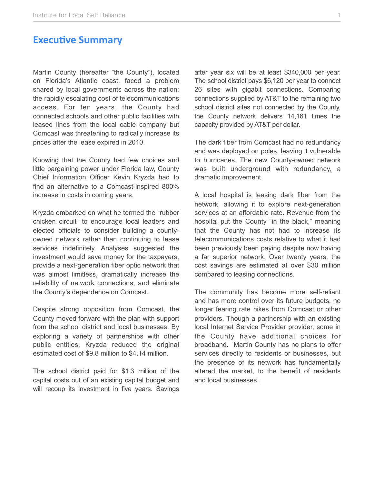#### **Executive Summary**

Martin County (hereafter "the County"), located on Florida's Atlantic coast, faced a problem shared by local governments across the nation: the rapidly escalating cost of telecommunications access. For ten years, the County had connected schools and other public facilities with leased lines from the local cable company but Comcast was threatening to radically increase its prices after the lease expired in 2010.

Knowing that the County had few choices and little bargaining power under Florida law, County Chief Information Officer Kevin Kryzda had to find an alternative to a Comcast-inspired 800% increase in costs in coming years.

Kryzda embarked on what he termed the "rubber chicken circuit" to encourage local leaders and elected officials to consider building a countyowned network rather than continuing to lease services indefinitely. Analyses suggested the investment would save money for the taxpayers, provide a next-generation fiber optic network that was almost limitless, dramatically increase the reliability of network connections, and eliminate the County's dependence on Comcast.

Despite strong opposition from Comcast, the County moved forward with the plan with support from the school district and local businesses. By exploring a variety of partnerships with other public entities, Kryzda reduced the original estimated cost of \$9.8 million to \$4.14 million.

The school district paid for \$1.3 million of the capital costs out of an existing capital budget and will recoup its investment in five years. Savings after year six will be at least \$340,000 per year. The school district pays \$6,120 per year to connect 26 sites with gigabit connections. Comparing connections supplied by AT&T to the remaining two school district sites not connected by the County, the County network delivers 14,161 times the capacity provided by AT&T per dollar.

The dark fiber from Comcast had no redundancy and was deployed on poles, leaving it vulnerable to hurricanes. The new County-owned network was built underground with redundancy, a dramatic improvement.

A local hospital is leasing dark fiber from the network, allowing it to explore next-generation services at an affordable rate. Revenue from the hospital put the County "in the black," meaning that the County has not had to increase its telecommunications costs relative to what it had been previously been paying despite now having a far superior network. Over twenty years, the cost savings are estimated at over \$30 million compared to leasing connections.

The community has become more self-reliant and has more control over its future budgets, no longer fearing rate hikes from Comcast or other providers. Though a partnership with an existing local Internet Service Provider provider, some in the County have additional choices for broadband. Martin County has no plans to offer services directly to residents or businesses, but the presence of its network has fundamentally altered the market, to the benefit of residents and local businesses.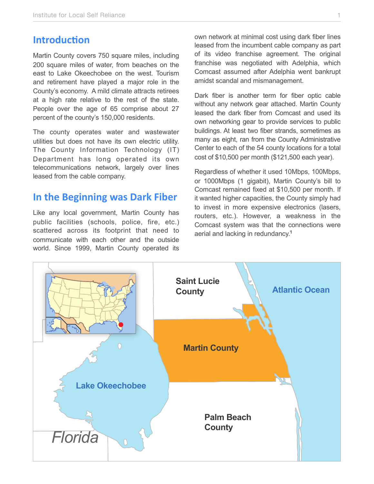#### **Introduction**

Martin County covers 750 square miles, including 200 square miles of water, from beaches on the east to Lake Okeechobee on the west. Tourism and retirement have played a major role in the County's economy. A mild climate attracts retirees at a high rate relative to the rest of the state. People over the age of 65 comprise about 27 percent of the county's 150,000 residents.

The county operates water and wastewater utilities but does not have its own electric utility. The County Information Technology (IT) Department has long operated its own telecommunications network, largely over lines leased from the cable company.

#### **In the Beginning was Dark Fiber**

Like any local government, Martin County has public facilities (schools, police, fire, etc.) scattered across its footprint that need to communicate with each other and the outside world. Since 1999, Martin County operated its

own network at minimal cost using dark fiber lines leased from the incumbent cable company as part of its video franchise agreement. The original franchise was negotiated with Adelphia, which Comcast assumed after Adelphia went bankrupt amidst scandal and mismanagement.

Dark fiber is another term for fiber optic cable without any network gear attached. Martin County leased the dark fiber from Comcast and used its own networking gear to provide services to public buildings. At least two fiber strands, sometimes as many as eight, ran from the County Administrative Center to each of the 54 county locations for a total cost of \$10,500 per month (\$121,500 each year).

Regardless of whether it used 10Mbps, 100Mbps, or 1000Mbps (1 gigabit), Martin County's bill to Comcast remained fixed at \$10,500 per month. If it wanted higher capacities, the County simply had to invest in more expensive electronics (lasers, routers, etc.). However, a weakness in the Comcast system was that the connections were aerial and lacking in redundancy[.1](#page-12-0)

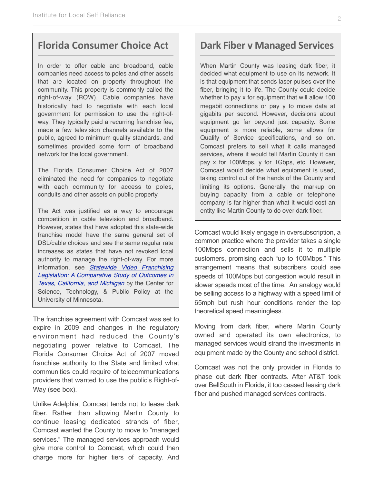#### **Florida Consumer Choice Act**

In order to offer cable and broadband, cable companies need access to poles and other assets that are located on property throughout the community. This property is commonly called the right-of-way (ROW). Cable companies have historically had to negotiate with each local government for permission to use the right-ofway. They typically paid a recurring franchise fee, made a few television channels available to the public, agreed to minimum quality standards, and sometimes provided some form of broadband network for the local government.

The Florida Consumer Choice Act of 2007 eliminated the need for companies to negotiate with each community for access to poles, conduits and other assets on public property.

The Act was justified as a way to encourage competition in cable television and broadband. However, states that have adopted this state-wide franchise model have the same general set of DSL/cable choices and see the same regular rate increases as states that have not revoked local authority to manage the right-of-way. For more information, see *[Statewide Video Franchising](http://www.hhh.umn.edu/centers/stpp/pdf/VideoFranchisingReport.pdf)  [Legislation: A Comparative Study of Outcomes in](http://www.hhh.umn.edu/centers/stpp/pdf/VideoFranchisingReport.pdf) [Texas, California, and Michigan](http://www.hhh.umn.edu/centers/stpp/pdf/VideoFranchisingReport.pdf)* by the Center for Science, Technology, & Public Policy at the University of Minnesota.

The franchise agreement with Comcast was set to expire in 2009 and changes in the regulatory environment had reduced the County's negotiating power relative to Comcast. The Florida Consumer Choice Act of 2007 moved franchise authority to the State and limited what communities could require of telecommunications providers that wanted to use the public's Right-of-Way (see box).

Unlike Adelphia, Comcast tends not to lease dark fiber. Rather than allowing Martin County to continue leasing dedicated strands of fiber, Comcast wanted the County to move to "managed services." The managed services approach would give more control to Comcast, which could then charge more for higher tiers of capacity. And

#### **Dark Fiber v Managed Services**

When Martin County was leasing dark fiber, it decided what equipment to use on its network. It is that equipment that sends laser pulses over the fiber, bringing it to life. The County could decide whether to pay x for equipment that will allow 100 megabit connections or pay y to move data at gigabits per second. However, decisions about equipment go far beyond just capacity. Some equipment is more reliable, some allows for Qualify of Service specifications, and so on. Comcast prefers to sell what it calls managed services, where it would tell Martin County it can pay x for 100Mbps, y for 1Gbps, etc. However, Comcast would decide what equipment is used, taking control out of the hands of the County and limiting its options. Generally, the markup on buying capacity from a cable or telephone company is far higher than what it would cost an entity like Martin County to do over dark fiber.

Comcast would likely engage in oversubscription, a common practice where the provider takes a single 100Mbps connection and sells it to multiple customers, promising each "up to 100Mbps." This arrangement means that subscribers could see speeds of 100Mbps but congestion would result in slower speeds most of the time. An analogy would be selling access to a highway with a speed limit of 65mph but rush hour conditions render the top theoretical speed meaningless.

Moving from dark fiber, where Martin County owned and operated its own electronics, to managed services would strand the investments in equipment made by the County and school district.

Comcast was not the only provider in Florida to phase out dark fiber contracts. After AT&T took over BellSouth in Florida, it too ceased leasing dark fiber and pushed managed services contracts.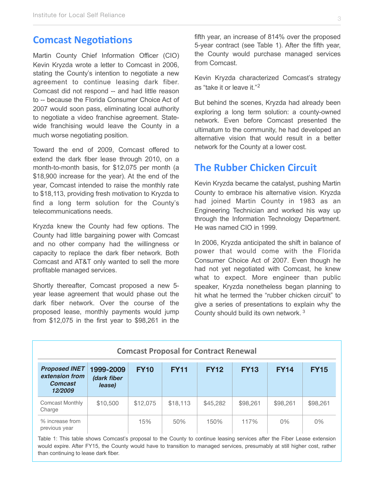#### **Comcast Negotiations**

Martin County Chief Information Officer (CIO) Kevin Kryzda wrote a letter to Comcast in 2006, stating the County's intention to negotiate a new agreement to continue leasing dark fiber. Comcast did not respond -- and had little reason to -- because the Florida Consumer Choice Act of 2007 would soon pass, eliminating local authority to negotiate a video franchise agreement. Statewide franchising would leave the County in a much worse negotiating position.

Toward the end of 2009, Comcast offered to extend the dark fiber lease through 2010, on a month-to-month basis, for \$12,075 per month (a \$18,900 increase for the year). At the end of the year, Comcast intended to raise the monthly rate to \$18,113, providing fresh motivation to Kryzda to find a long term solution for the County's telecommunications needs.

Kryzda knew the County had few options. The County had little bargaining power with Comcast and no other company had the willingness or capacity to replace the dark fiber network. Both Comcast and AT&T only wanted to sell the more profitable managed services.

Shortly thereafter, Comcast proposed a new 5 year lease agreement that would phase out the dark fiber network. Over the course of the proposed lease, monthly payments would jump from \$12,075 in the first year to \$98,261 in the

fifth year, an increase of 814% over the proposed 5-year contract (see Table 1). After the fifth year, the County would purchase managed services from Comcast.

Kevin Kryzda characterized Comcast's strategy as "take it or leave it."[2](#page-12-1)

But behind the scenes, Kryzda had already been exploring a long term solution: a county-owned network. Even before Comcast presented the ultimatum to the community, he had developed an alternative vision that would result in a better network for the County at a lower cost.

#### **The Rubber Chicken Circuit**

Kevin Kryzda became the catalyst, pushing Martin County to embrace his alternative vision. Kryzda had joined Martin County in 1983 as an Engineering Technician and worked his way up through the Information Technology Department. He was named CIO in 1999.

In 2006, Kryzda anticipated the shift in balance of power that would come with the Florida Consumer Choice Act of 2007. Even though he had not yet negotiated with Comcast, he knew what to expect. More engineer than public speaker, Kryzda nonetheless began planning to hit what he termed the "rubber chicken circuit" to give a series of presentations to explain why the County should build its own network. [3](#page-12-2)

| <b>Comcast Proposal for Contract Renewal</b>                        |                                    |             |             |             |             |             |             |
|---------------------------------------------------------------------|------------------------------------|-------------|-------------|-------------|-------------|-------------|-------------|
| <b>Proposed INET</b><br>extension from<br><b>Comcast</b><br>12/2009 | 1999-2009<br>(dark fiber<br>lease) | <b>FY10</b> | <b>FY11</b> | <b>FY12</b> | <b>FY13</b> | <b>FY14</b> | <b>FY15</b> |
| Comcast Monthly<br>Charge                                           | \$10,500                           | \$12,075    | \$18,113    | \$45,282    | \$98,261    | \$98,261    | \$98,261    |
| % increase from<br>previous year                                    |                                    | 15%         | 50%         | 150%        | 117%        | $0\%$       | 0%          |

Table 1: This table shows Comcast's proposal to the County to continue leasing services after the Fiber Lease extension would expire. After FY15, the County would have to transition to managed services, presumably at still higher cost, rather than continuing to lease dark fiber.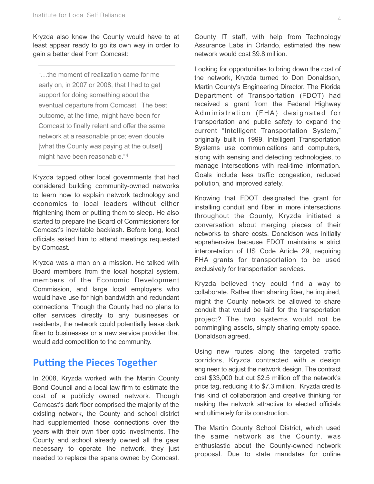Kryzda also knew the County would have to at least appear ready to go its own way in order to gain a better deal from Comcast:

"…the moment of realization came for me early on, in 2007 or 2008, that I had to get support for doing something about the eventual departure from Comcast. The best outcome, at the time, might have been for Comcast to finally relent and offer the same network at a reasonable price; even double [what the County was paying at the outset] might have been reasonable."[4](#page-12-3)

Kryzda tapped other local governments that had considered building community-owned networks to learn how to explain network technology and economics to local leaders without either frightening them or putting them to sleep. He also started to prepare the Board of Commissioners for Comcast's inevitable backlash. Before long, local officials asked him to attend meetings requested by Comcast.

Kryzda was a man on a mission. He talked with Board members from the local hospital system, members of the Economic Development Commission, and large local employers who would have use for high bandwidth and redundant connections. Though the County had no plans to offer services directly to any businesses or residents, the network could potentially lease dark fiber to businesses or a new service provider that would add competition to the community.

#### **Putting the Pieces Together**

In 2008, Kryzda worked with the Martin County Bond Council and a local law firm to estimate the cost of a publicly owned network. Though Comcast's dark fiber comprised the majority of the existing network, the County and school district had supplemented those connections over the years with their own fiber optic investments. The County and school already owned all the gear necessary to operate the network, they just needed to replace the spans owned by Comcast.

County IT staff, with help from Technology Assurance Labs in Orlando, estimated the new network would cost \$9.8 million.

Looking for opportunities to bring down the cost of the network, Kryzda turned to Don Donaldson, Martin County's Engineering Director. The Florida Department of Transportation (FDOT) had received a grant from the Federal Highway Administration (FHA) designated for transportation and public safety to expand the current "Intelligent Transportation System," originally built in 1999. Intelligent Transportation Systems use communications and computers, along with sensing and detecting technologies, to manage intersections with real-time information. Goals include less traffic congestion, reduced pollution, and improved safety.

Knowing that FDOT designated the grant for installing conduit and fiber in more intersections throughout the County, Kryzda initiated a conversation about merging pieces of their networks to share costs. Donaldson was initially apprehensive because FDOT maintains a strict interpretation of US Code Article 29, requiring FHA grants for transportation to be used exclusively for transportation services.

Kryzda believed they could find a way to collaborate. Rather than sharing fiber, he inquired, might the County network be allowed to share conduit that would be laid for the transportation project? The two systems would not be commingling assets, simply sharing empty space. Donaldson agreed.

Using new routes along the targeted traffic corridors, Kryzda contracted with a design engineer to adjust the network design. The contract cost \$33,000 but cut \$2.5 million off the network's price tag, reducing it to \$7.3 million. Kryzda credits this kind of collaboration and creative thinking for making the network attractive to elected officials and ultimately for its construction.

The Martin County School District, which used the same network as the County, was enthusiastic about the County-owned network proposal. Due to state mandates for online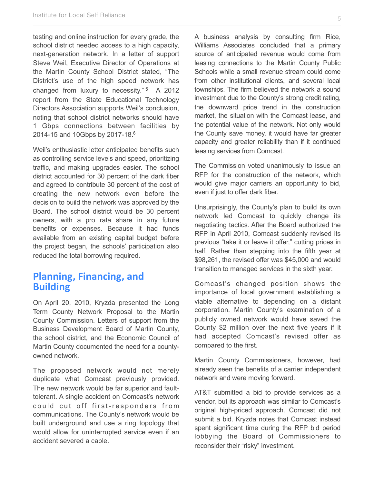testing and online instruction for every grade, the school district needed access to a high capacity, next-generation network. In a letter of support Steve Weil, Executive Director of Operations at the Martin County School District stated, "The District's use of the high speed network has changed from luxury to necessity."<sup>[5](#page-12-4)</sup> A 2012 report from the State Educational Technology Directors Association supports Weil's conclusion, noting that school district networks should have 1 Gbps connections between facilities by 2014-15 and 10Gbps by 2017-18[.6](#page-12-5)

Weil's enthusiastic letter anticipated benefits such as controlling service levels and speed, prioritizing traffic, and making upgrades easier. The school district accounted for 30 percent of the dark fiber and agreed to contribute 30 percent of the cost of creating the new network even before the decision to build the network was approved by the Board. The school district would be 30 percent owners, with a pro rata share in any future benefits or expenses. Because it had funds available from an existing capital budget before the project began, the schools' participation also reduced the total borrowing required.

#### **Planning, Financing, and Building**

On April 20, 2010, Kryzda presented the Long Term County Network Proposal to the Martin County Commission. Letters of support from the Business Development Board of Martin County, the school district, and the Economic Council of Martin County documented the need for a countyowned network.

The proposed network would not merely duplicate what Comcast previously provided. The new network would be far superior and faulttolerant. A single accident on Comcast's network could cut off first-responders from communications. The County's network would be built underground and use a ring topology that would allow for uninterrupted service even if an accident severed a cable.

A business analysis by consulting firm Rice, Williams Associates concluded that a primary source of anticipated revenue would come from leasing connections to the Martin County Public Schools while a small revenue stream could come from other institutional clients, and several local townships. The firm believed the network a sound investment due to the County's strong credit rating, the downward price trend in the construction market, the situation with the Comcast lease, and the potential value of the network. Not only would the County save money, it would have far greater capacity and greater reliability than if it continued leasing services from Comcast.

The Commission voted unanimously to issue an RFP for the construction of the network, which would give major carriers an opportunity to bid, even if just to offer dark fiber.

Unsurprisingly, the County's plan to build its own network led Comcast to quickly change its negotiating tactics. After the Board authorized the RFP in April 2010, Comcast suddenly revised its previous "take it or leave it offer," cutting prices in half. Rather than stepping into the fifth year at \$98,261, the revised offer was \$45,000 and would transition to managed services in the sixth year.

Comcast's changed position shows the importance of local government establishing a viable alternative to depending on a distant corporation. Martin County's examination of a publicly owned network would have saved the County \$2 million over the next five years if it had accepted Comcast's revised offer as compared to the first.

Martin County Commissioners, however, had already seen the benefits of a carrier independent network and were moving forward.

AT&T submitted a bid to provide services as a vendor, but its approach was similar to Comcast's original high-priced approach. Comcast did not submit a bid. Kryzda notes that Comcast instead spent significant time during the RFP bid period lobbying the Board of Commissioners to reconsider their "risky" investment.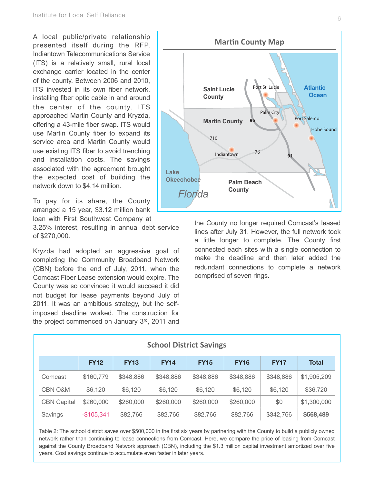A local public/private relationship presented itself during the RFP. Indiantown Telecommunications Service (ITS) is a relatively small, rural local exchange carrier located in the center of the county. Between 2006 and 2010, ITS invested in its own fiber network, installing fiber optic cable in and around the center of the county. ITS approached Martin County and Kryzda, offering a 43-mile fiber swap. ITS would use Martin County fiber to expand its service area and Martin County would use existing ITS fiber to avoid trenching and installation costs. The savings associated with the agreement brought the expected cost of building the network down to \$4.14 million.

To pay for its share, the County arranged a 15 year, \$3.12 million bank loan with First Southwest Company at

3.25% interest, resulting in annual debt service of \$270,000.

Kryzda had adopted an aggressive goal of completing the Community Broadband Network (CBN) before the end of July, 2011, when the Comcast Fiber Lease extension would expire. The County was so convinced it would succeed it did not budget for lease payments beyond July of 2011. It was an ambitious strategy, but the selfimposed deadline worked. The construction for the project commenced on January 3rd, 2011 and



the County no longer required Comcast's leased lines after July 31. However, the full network took a little longer to complete. The County first connected each sites with a single connection to make the deadline and then later added the redundant connections to complete a network comprised of seven rings.

| <b>School District Savings</b> |             |             |             |             |             |             |              |
|--------------------------------|-------------|-------------|-------------|-------------|-------------|-------------|--------------|
|                                | <b>FY12</b> | <b>FY13</b> | <b>FY14</b> | <b>FY15</b> | <b>FY16</b> | <b>FY17</b> | <b>Total</b> |
| Comcast                        | \$160,779   | \$348,886   | \$348,886   | \$348,886   | \$348,886   | \$348,886   | \$1,905,209  |
| <b>CBN O&amp;M</b>             | \$6,120     | \$6,120     | \$6,120     | \$6,120     | \$6,120     | \$6,120     | \$36,720     |
| <b>CBN Capital</b>             | \$260,000   | \$260,000   | \$260,000   | \$260,000   | \$260,000   | \$0         | \$1,300,000  |
| Savings                        | $-$105,341$ | \$82,766    | \$82,766    | \$82,766    | \$82,766    | \$342,766   | \$568,489    |

Table 2: The school district saves over \$500,000 in the first six years by partnering with the County to build a publicly owned network rather than continuing to lease connections from Comcast. Here, we compare the price of leasing from Comcast against the County Broadband Network approach (CBN), including the \$1.3 million capital investment amortized over five years. Cost savings continue to accumulate even faster in later years.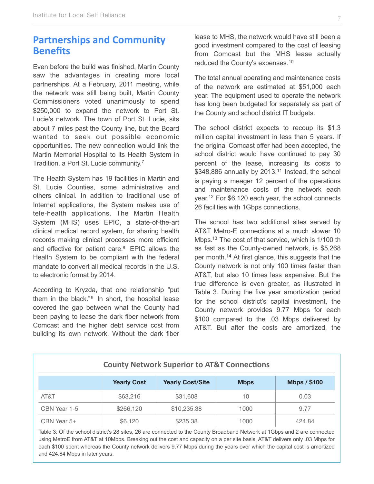#### **Partnerships and Community Benefits**

Even before the build was finished, Martin County saw the advantages in creating more local partnerships. At a February, 2011 meeting, while the network was still being built, Martin County Commissioners voted unanimously to spend \$250,000 to expand the network to Port St. Lucie's network. The town of Port St. Lucie, sits about 7 miles past the County line, but the Board wanted to seek out possible economic opportunities. The new connection would link the Martin Memorial Hospital to its Health System in Tradition, a Port St. Lucie community[.7](#page-12-6)

The Health System has 19 facilities in Martin and St. Lucie Counties, some administrative and others clinical. In addition to traditional use of Internet applications, the System makes use of tele-health applications. The Martin Health System (MHS) uses EPIC, a state-of-the-art clinical medical record system, for sharing health records making clinical processes more efficient and effective for patient care.<sup>8</sup> EPIC allows the Health System to be compliant with the federal mandate to convert all medical records in the U.S. to electronic format by 2014.

According to Kryzda, that one relationship "put them in the black."<sup>[9](#page-12-8)</sup> In short, the hospital lease covered the gap between what the County had been paying to lease the dark fiber network from Comcast and the higher debt service cost from building its own network. Without the dark fiber

lease to MHS, the network would have still been a good investment compared to the cost of leasing from Comcast but the MHS lease actually reduced the County's expenses.[10](#page-12-9)

The total annual operating and maintenance costs of the network are estimated at \$51,000 each year. The equipment used to operate the network has long been budgeted for separately as part of the County and school district IT budgets.

The school district expects to recoup its \$1.3 million capital investment in less than 5 years. If the original Comcast offer had been accepted, the school district would have continued to pay 30 percent of the lease, increasing its costs to  $$348,886$  annually by  $2013.<sup>11</sup>$  Instead, the school is paying a meager 12 percent of the operations and maintenance costs of the network each year[.12](#page-12-11) For \$6,120 each year, the school connects 26 facilities with 1Gbps connections.

The school has two additional sites served by AT&T Metro-E connections at a much slower 10 Mbps[.13](#page-12-12) The cost of that service, which is 1/100 th as fast as the County-owned network, is \$5,268 per month.[14](#page-12-13) At first glance, this suggests that the County network is not only 100 times faster than AT&T, but also 10 times less expensive. But the true difference is even greater, as illustrated in Table 3. During the five year amortization period for the school district's capital investment, the County network provides 9.77 Mbps for each \$100 compared to the .03 Mbps delivered by AT&T. But after the costs are amortized, the

| <b>County Network Superior to AT&amp;T Connections</b> |                    |                         |             |                     |  |  |
|--------------------------------------------------------|--------------------|-------------------------|-------------|---------------------|--|--|
|                                                        | <b>Yearly Cost</b> | <b>Yearly Cost/Site</b> | <b>Mbps</b> | <b>Mbps / \$100</b> |  |  |
| AT&T                                                   | \$63,216           | \$31,608                | 10          | 0.03                |  |  |
| CBN Year 1-5                                           | \$266,120          | \$10,235.38             | 1000        | 9.77                |  |  |
| $CBN$ Year $5+$                                        | \$6,120            | \$235.38                | 1000        | 424.84              |  |  |

Table 3: Of the school district's 28 sites, 26 are connected to the County Broadband Network at 1Gbps and 2 are connected using MetroE from AT&T at 10Mbps. Breaking out the cost and capacity on a per site basis, AT&T delivers only .03 Mbps for each \$100 spent whereas the County network delivers 9.77 Mbps during the years over which the capital cost is amortized and 424.84 Mbps in later years.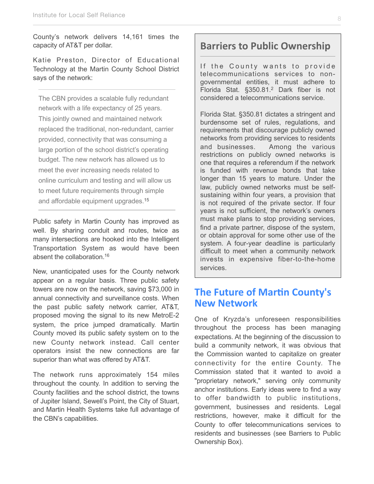County's network delivers 14,161 times the capacity of AT&T per dollar.

Katie Preston, Director of Educational Technology at the Martin County School District says of the network:

The CBN provides a scalable fully redundant network with a life expectancy of 25 years. This jointly owned and maintained network replaced the traditional, non-redundant, carrier provided, connectivity that was consuming a large portion of the school district's operating budget. The new network has allowed us to meet the ever increasing needs related to online curriculum and testing and will allow us to meet future requirements through simple and affordable equipment upgrades.<sup>[15](#page-12-14)</sup>

Public safety in Martin County has improved as well. By sharing conduit and routes, twice as many intersections are hooked into the Intelligent Transportation System as would have been absent the collaboration 16

New, unanticipated uses for the County network appear on a regular basis. Three public safety towers are now on the network, saving \$73,000 in annual connectivity and surveillance costs. When the past public safety network carrier, AT&T, proposed moving the signal to its new MetroE-2 system, the price jumped dramatically. Martin County moved its public safety system on to the new County network instead. Call center operators insist the new connections are far superior than what was offered by AT&T.

The network runs approximately 154 miles throughout the county. In addition to serving the County facilities and the school district, the towns of Jupiter Island, Sewell's Point, the City of Stuart, and Martin Health Systems take full advantage of the CBN's capabilities.

#### **Barriers to Public Ownership**

If the County wants to provide telecommunications services to nongovernmental entities, it must adhere to Florida Stat. §350.81.<sup>2</sup> Dark fiber is not considered a telecommunications service.

Florida Stat. §350.81 dictates a stringent and burdensome set of rules, regulations, and requirements that discourage publicly owned networks from providing services to residents and businesses. Among the various restrictions on publicly owned networks is one that requires a referendum if the network is funded with revenue bonds that take longer than 15 years to mature. Under the law, publicly owned networks must be selfsustaining within four years, a provision that is not required of the private sector. If four years is not sufficient, the network's owners must make plans to stop providing services, find a private partner, dispose of the system, or obtain approval for some other use of the system. A four-year deadline is particularly difficult to meet when a community network invests in expensive fiber-to-the-home services.

#### **The Future of Martin County's New/Network**

One of Kryzda's unforeseen responsibilities throughout the process has been managing expectations. At the beginning of the discussion to build a community network, it was obvious that the Commission wanted to capitalize on greater connectivity for the entire County. The Commission stated that it wanted to avoid a "proprietary network," serving only community anchor institutions. Early ideas were to find a way to offer bandwidth to public institutions, government, businesses and residents. Legal restrictions, however, make it difficult for the County to offer telecommunications services to residents and businesses (see Barriers to Public Ownership Box).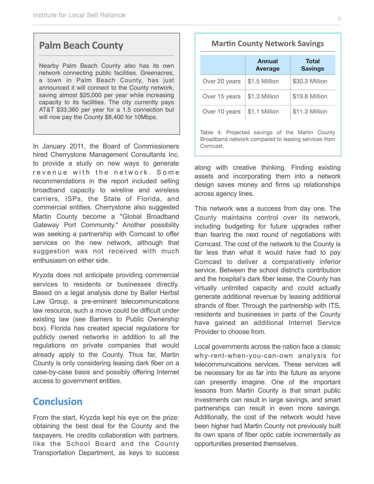#### **Palm Beach County**

Nearby Palm Beach County also has its own network connecting public facilities. Greenacres, a town in Palm Beach County, has just announced it will connect to the County network, saving almost \$25,000 per year while increasing capacity to its facilities. The city currently pays AT&T \$33,360 per year for a 1.5 connection but will now pay the County \$8,400 for 10Mbps.

In January 2011, the Board of Commissioners hired Cherrystone Management Consultants Inc. to provide a study on new ways to generate revenue with the network. Some recommendations in the report included selling broadband capacity to wireline and wireless carriers, ISPs, the State of Florida, and commercial entities. Cherrystone also suggested Martin County become a "Global Broadband Gateway Port Community." Another possibility was seeking a partnership with Comcast to offer services on the new network, although that suggestion was not received with much enthusiasm on either side.

Kryzda does not anticipate providing commercial services to residents or businesses directly. Based on a legal analysis done by Baller Herbst Law Group, a pre-eminent telecommunications law resource, such a move could be difficult under existing law (see Barriers to Public Ownership box). Florida has created special regulations for publicly owned networks in addition to all the regulations on private companies that would already apply to the County. Thus far, Martin County is only considering leasing dark fiber on a case-by-case basis and possibly offering Internet access to government entities.

#### **Conclusion**

From the start, Kryzda kept his eye on the prize: obtaining the best deal for the County and the taxpayers. He credits collaboration with partners, like the School Board and the County Transportation Department, as keys to success

#### **Martin County Network Savings**

|                                                                                                                    | <b>Annual</b><br><b>Average</b> | <b>Total</b><br><b>Savings</b> |  |  |  |  |
|--------------------------------------------------------------------------------------------------------------------|---------------------------------|--------------------------------|--|--|--|--|
| Over 20 years                                                                                                      | \$1.5 Million                   | \$30.3 Million                 |  |  |  |  |
| Over 15 years                                                                                                      | \$1.3 Million                   | \$19.8 Million                 |  |  |  |  |
| Over 10 years                                                                                                      | \$1.1 Million                   | \$11.3 Million                 |  |  |  |  |
| Table 4: Projected savings of the Martin County<br>Broadband network compared to leasing services from<br>Comcast. |                                 |                                |  |  |  |  |

along with creative thinking. Finding existing assets and incorporating them into a network design saves money and firms up relationships across agency lines.

This network was a success from day one. The County maintains control over its network, including budgeting for future upgrades rather than fearing the next round of negotiations with Comcast. The cost of the network to the County is far less than what it would have had to pay Comcast to deliver a comparatively inferior service. Between the school district's contribution and the hospital's dark fiber lease, the County has virtually unlimited capacity and could actually generate additional revenue by leasing additional strands of fiber. Through the partnership with ITS, residents and businesses in parts of the County have gained an additional Internet Service Provider to choose from.

Local governments across the nation face a classic why-rent-when-you-can-own analysis for telecommunications services. These services will be necessary for as far into the future as anyone can presently imagine. One of the important lessons from Martin County is that smart public investments can result in large savings, and smart partnerships can result in even more savings. Additionally, the cost of the network would have been higher had Martin County not previously built its own spans of fiber optic cable incrementally as opportunities presented themselves.